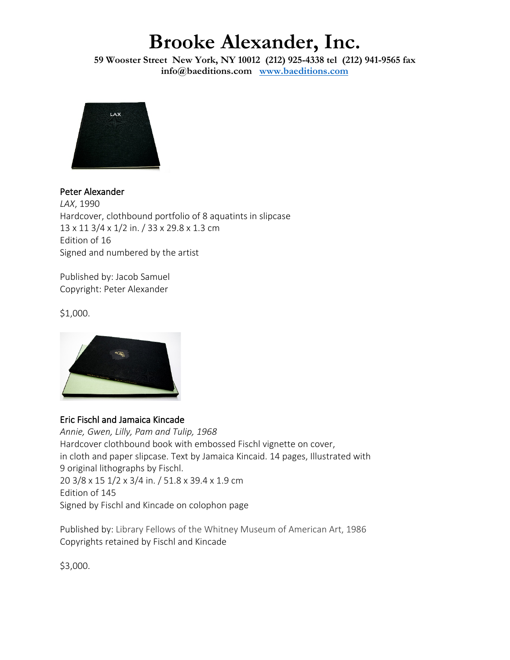**59 Wooster Street New York, NY 10012 (212) 925-4338 tel (212) 941-9565 fax info@baeditions.com [www.baeditions.com](http://www.baeditions.com/)**



Peter Alexander *LAX*, 1990 Hardcover, clothbound portfolio of 8 aquatints in slipcase 13 x 11 3/4 x 1/2 in. / 33 x 29.8 x 1.3 cm Edition of 16 Signed and numbered by the artist

Published by: Jacob Samuel Copyright: Peter Alexander

\$1,000.



#### Eric Fischl and Jamaica Kincade

*Annie, Gwen, Lilly, Pam and Tulip, 1968* Hardcover clothbound book with embossed Fischl vignette on cover, in cloth and paper slipcase. Text by Jamaica Kincaid. 14 pages, Illustrated with 9 original lithographs by Fischl. 20 3/8 x 15 1/2 x 3/4 in. / 51.8 x 39.4 x 1.9 cm Edition of 145 Signed by Fischl and Kincade on colophon page

Published by: Library Fellows of the Whitney Museum of American Art, 1986 Copyrights retained by Fischl and Kincade

\$3,000.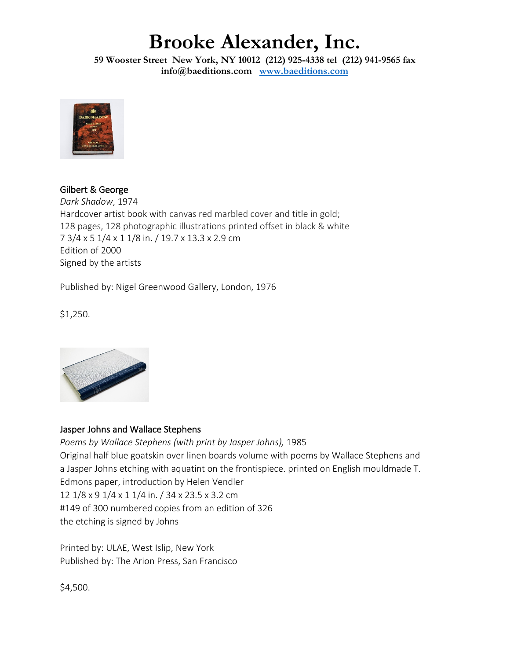**59 Wooster Street New York, NY 10012 (212) 925-4338 tel (212) 941-9565 fax info@baeditions.com [www.baeditions.com](http://www.baeditions.com/)**



Gilbert & George *Dark Shadow*, 1974 Hardcover artist book with canvas red marbled cover and title in gold; 128 pages, 128 photographic illustrations printed offset in black & white 7 3/4 x 5 1/4 x 1 1/8 in. / 19.7 x 13.3 x 2.9 cm Edition of 2000 Signed by the artists

Published by: Nigel Greenwood Gallery, London, 1976

\$1,250.



#### Jasper Johns and Wallace Stephens

*Poems by Wallace Stephens (with print by Jasper Johns),* 1985 Original half blue goatskin over linen boards volume with poems by Wallace Stephens and a Jasper Johns etching with aquatint on the frontispiece. printed on English mouldmade T. Edmons paper, introduction by Helen Vendler 12 1/8 x 9 1/4 x 1 1/4 in. / 34 x 23.5 x 3.2 cm #149 of 300 numbered copies from an edition of 326 the etching is signed by Johns

Printed by: ULAE, West Islip, New York Published by: The Arion Press, San Francisco

\$4,500.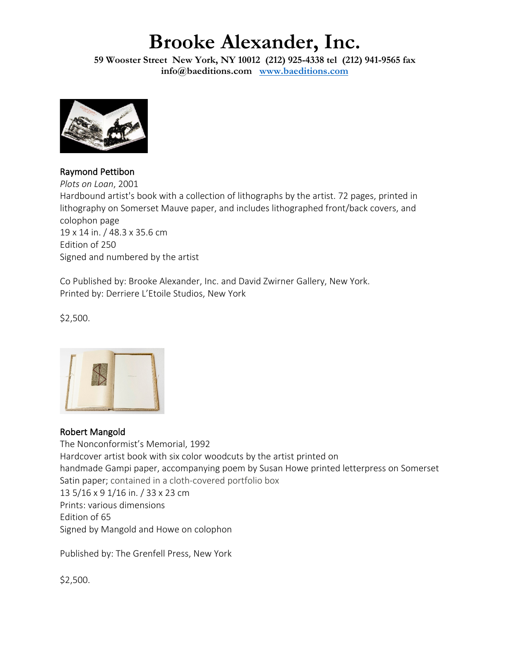**59 Wooster Street New York, NY 10012 (212) 925-4338 tel (212) 941-9565 fax info@baeditions.com [www.baeditions.com](http://www.baeditions.com/)**



Raymond Pettibon

*Plots on Loan*, 2001 Hardbound artist's book with a collection of lithographs by the artist. 72 pages, printed in lithography on Somerset Mauve paper, and includes lithographed front/back covers, and colophon page 19 x 14 in. / 48.3 x 35.6 cm Edition of 250 Signed and numbered by the artist

Co Published by: Brooke Alexander, Inc. and David Zwirner Gallery, New York. Printed by: Derriere L'Etoile Studios, New York

\$2,500.



#### Robert Mangold

The Nonconformist's Memorial, 1992 Hardcover artist book with six color woodcuts by the artist printed on handmade Gampi paper, accompanying poem by Susan Howe printed letterpress on Somerset Satin paper; contained in a cloth-covered portfolio box 13 5/16 x 9 1/16 in. / 33 x 23 cm Prints: various dimensions Edition of 65 Signed by Mangold and Howe on colophon

Published by: The Grenfell Press, New York

\$2,500.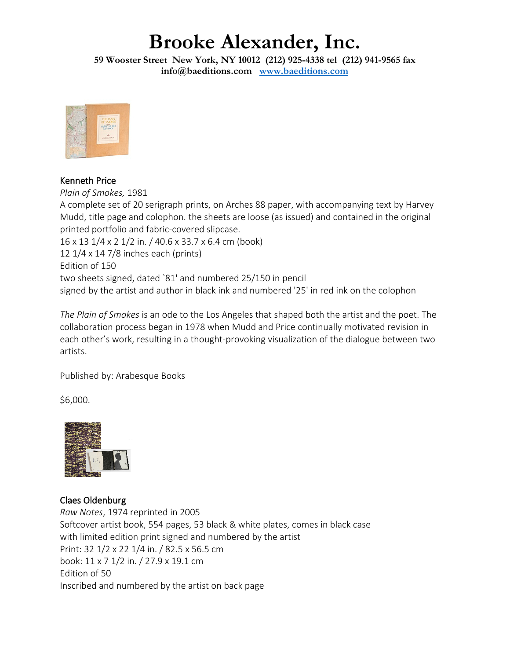**59 Wooster Street New York, NY 10012 (212) 925-4338 tel (212) 941-9565 fax info@baeditions.com [www.baeditions.com](http://www.baeditions.com/)**



#### Kenneth Price

*Plain of Smokes,* 1981 A complete set of 20 serigraph prints, on Arches 88 paper, with accompanying text by Harvey Mudd, title page and colophon. the sheets are loose (as issued) and contained in the original printed portfolio and fabric-covered slipcase. 16 x 13 1/4 x 2 1/2 in. / 40.6 x 33.7 x 6.4 cm (book) 12 1/4 x 14 7/8 inches each (prints) Edition of 150 two sheets signed, dated `81' and numbered 25/150 in pencil signed by the artist and author in black ink and numbered '25' in red ink on the colophon

*The Plain of Smokes* is an ode to the Los Angeles that shaped both the artist and the poet. The collaboration process began in 1978 when Mudd and Price continually motivated revision in each other's work, resulting in a thought-provoking visualization of the dialogue between two artists.

Published by: Arabesque Books

\$6,000.



### Claes Oldenburg

*Raw Notes*, 1974 reprinted in 2005 Softcover artist book, 554 pages, 53 black & white plates, comes in black case with limited edition print signed and numbered by the artist Print: 32 1/2 x 22 1/4 in. / 82.5 x 56.5 cm book: 11 x 7 1/2 in. / 27.9 x 19.1 cm Edition of 50 Inscribed and numbered by the artist on back page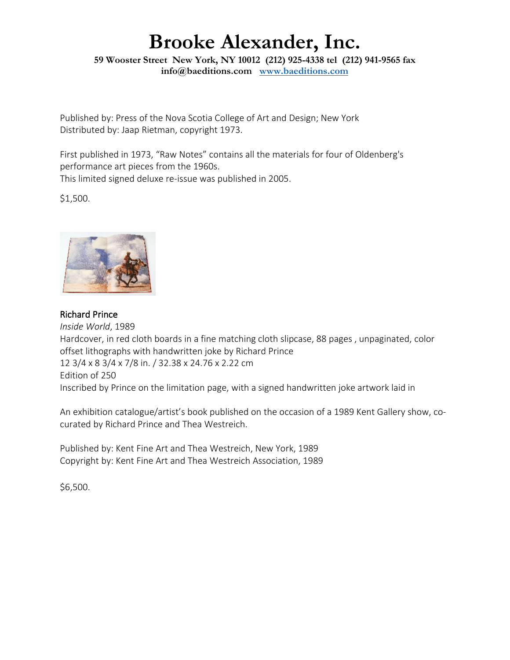**59 Wooster Street New York, NY 10012 (212) 925-4338 tel (212) 941-9565 fax info@baeditions.com [www.baeditions.com](http://www.baeditions.com/)**

Published by: Press of the Nova Scotia College of Art and Design; New York Distributed by: Jaap Rietman, copyright 1973.

First published in 1973, "Raw Notes" contains all the materials for four of Oldenberg's performance art pieces from the 1960s. This limited signed deluxe re-issue was published in 2005.

\$1,500.



#### Richard Prince

*Inside World*, 1989 Hardcover, in red cloth boards in a fine matching cloth slipcase, 88 pages , unpaginated, color offset lithographs with handwritten joke by Richard Prince 12 3/4 x 8 3/4 x 7/8 in. / 32.38 x 24.76 x 2.22 cm Edition of 250 Inscribed by Prince on the limitation page, with a signed handwritten joke artwork laid in

An exhibition catalogue/artist's book published on the occasion of a 1989 Kent Gallery show, cocurated by Richard Prince and Thea Westreich.

Published by: Kent Fine Art and Thea Westreich, New York, 1989 Copyright by: Kent Fine Art and Thea Westreich Association, 1989

\$6,500.